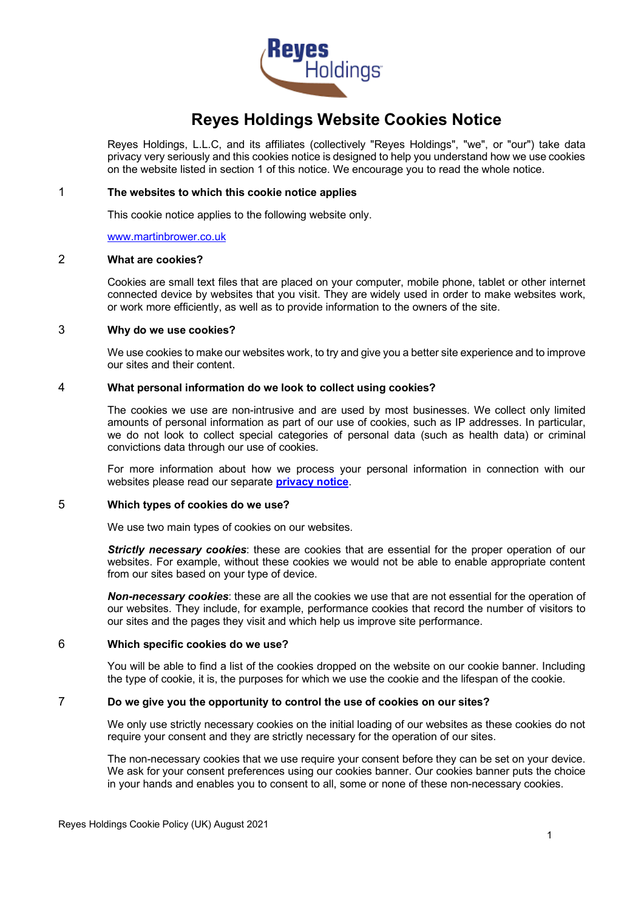

# **Reyes Holdings Website Cookies Notice**

Reyes Holdings, L.L.C, and its affiliates (collectively "Reyes Holdings", "we", or "our") take data privacy very seriously and this cookies notice is designed to help you understand how we use cookies on the website listed in section 1 of this notice. We encourage you to read the whole notice.

#### 1 **The websites to which this cookie notice applies**

This cookie notice applies to the following website only.

[www.martinbrower.co.uk](http://www.martinbrower.co.uk/)

# 2 **What are cookies?**

Cookies are small text files that are placed on your computer, mobile phone, tablet or other internet connected device by websites that you visit. They are widely used in order to make websites work, or work more efficiently, as well as to provide information to the owners of the site.

#### 3 **Why do we use cookies?**

We use cookies to make our websites work, to try and give you a better site experience and to improve our sites and their content.

### 4 **What personal information do we look to collect using cookies?**

The cookies we use are non-intrusive and are used by most businesses. We collect only limited amounts of personal information as part of our use of cookies, such as IP addresses. In particular, we do not look to collect special categories of personal data (such as health data) or criminal convictions data through our use of cookies.

For more information about how we process your personal information in connection with our websites please read our separate **[privacy notice](https://martinbrower.com/images/docs/Reyes_Holdings_Global_Privacy_Notice-EN.pdf)**.

#### 5 **Which types of cookies do we use?**

We use two main types of cookies on our websites.

**Strictly necessary cookies**: these are cookies that are essential for the proper operation of our websites. For example, without these cookies we would not be able to enable appropriate content from our sites based on your type of device.

*Non-necessary cookies*: these are all the cookies we use that are not essential for the operation of our websites. They include, for example, performance cookies that record the number of visitors to our sites and the pages they visit and which help us improve site performance.

### 6 **Which specific cookies do we use?**

You will be able to find a list of the cookies dropped on the website on our cookie banner. Including the type of cookie, it is, the purposes for which we use the cookie and the lifespan of the cookie.

#### 7 **Do we give you the opportunity to control the use of cookies on our sites?**

We only use strictly necessary cookies on the initial loading of our websites as these cookies do not require your consent and they are strictly necessary for the operation of our sites.

The non-necessary cookies that we use require your consent before they can be set on your device. We ask for your consent preferences using our cookies banner. Our cookies banner puts the choice in your hands and enables you to consent to all, some or none of these non-necessary cookies.